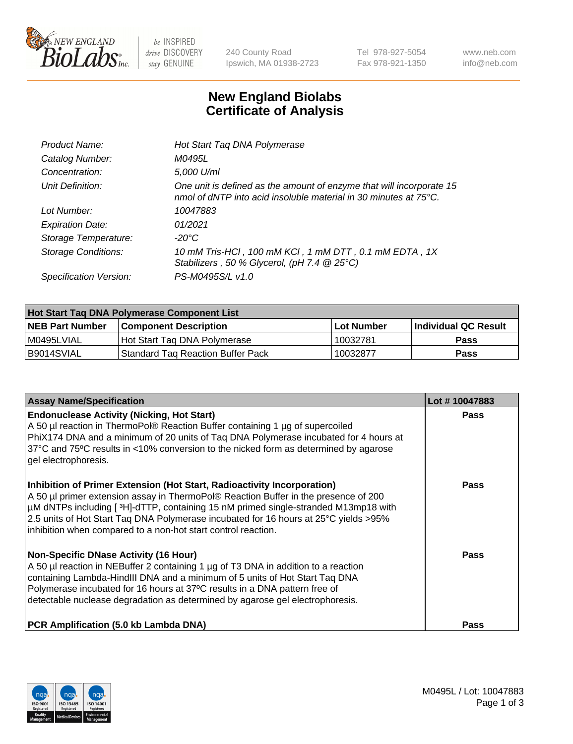

 $be$  INSPIRED drive DISCOVERY stay GENUINE

240 County Road Ipswich, MA 01938-2723 Tel 978-927-5054 Fax 978-921-1350 www.neb.com info@neb.com

## **New England Biolabs Certificate of Analysis**

| Product Name:              | Hot Start Taq DNA Polymerase                                                                                                                       |
|----------------------------|----------------------------------------------------------------------------------------------------------------------------------------------------|
| Catalog Number:            | M0495L                                                                                                                                             |
| Concentration:             | 5,000 U/ml                                                                                                                                         |
| Unit Definition:           | One unit is defined as the amount of enzyme that will incorporate 15<br>nmol of dNTP into acid insoluble material in 30 minutes at $75^{\circ}$ C. |
| Lot Number:                | 10047883                                                                                                                                           |
| <b>Expiration Date:</b>    | 01/2021                                                                                                                                            |
| Storage Temperature:       | -20°C                                                                                                                                              |
| <b>Storage Conditions:</b> | 10 mM Tris-HCl, 100 mM KCl, 1 mM DTT, 0.1 mM EDTA, 1X<br>Stabilizers, 50 % Glycerol, (pH 7.4 @ 25°C)                                               |
| Specification Version:     | PS-M0495S/L v1.0                                                                                                                                   |

| Hot Start Taq DNA Polymerase Component List |                                     |            |                             |  |  |
|---------------------------------------------|-------------------------------------|------------|-----------------------------|--|--|
| <b>NEB Part Number</b>                      | <b>Component Description</b>        | Lot Number | <b>Individual QC Result</b> |  |  |
| M0495LVIAL                                  | Hot Start Tag DNA Polymerase        | 10032781   | <b>Pass</b>                 |  |  |
| I B9014SVIAL                                | l Standard Tag Reaction Buffer Pack | 10032877   | Pass                        |  |  |

| <b>Assay Name/Specification</b>                                                                                                                                                                                                                                                                                                                                                                                | Lot #10047883 |
|----------------------------------------------------------------------------------------------------------------------------------------------------------------------------------------------------------------------------------------------------------------------------------------------------------------------------------------------------------------------------------------------------------------|---------------|
| <b>Endonuclease Activity (Nicking, Hot Start)</b><br>A 50 µl reaction in ThermoPol® Reaction Buffer containing 1 µg of supercoiled<br>PhiX174 DNA and a minimum of 20 units of Taq DNA Polymerase incubated for 4 hours at<br>37°C and 75°C results in <10% conversion to the nicked form as determined by agarose<br>gel electrophoresis.                                                                     | Pass          |
| Inhibition of Primer Extension (Hot Start, Radioactivity Incorporation)<br>A 50 µl primer extension assay in ThermoPol® Reaction Buffer in the presence of 200<br>µM dNTPs including [3H]-dTTP, containing 15 nM primed single-stranded M13mp18 with<br>2.5 units of Hot Start Taq DNA Polymerase incubated for 16 hours at 25°C yields > 95%<br>inhibition when compared to a non-hot start control reaction. | Pass          |
| <b>Non-Specific DNase Activity (16 Hour)</b><br>A 50 µl reaction in NEBuffer 2 containing 1 µg of T3 DNA in addition to a reaction<br>containing Lambda-HindIII DNA and a minimum of 5 units of Hot Start Taq DNA<br>Polymerase incubated for 16 hours at 37°C results in a DNA pattern free of<br>detectable nuclease degradation as determined by agarose gel electrophoresis.                               | Pass          |
| PCR Amplification (5.0 kb Lambda DNA)                                                                                                                                                                                                                                                                                                                                                                          | Pass          |

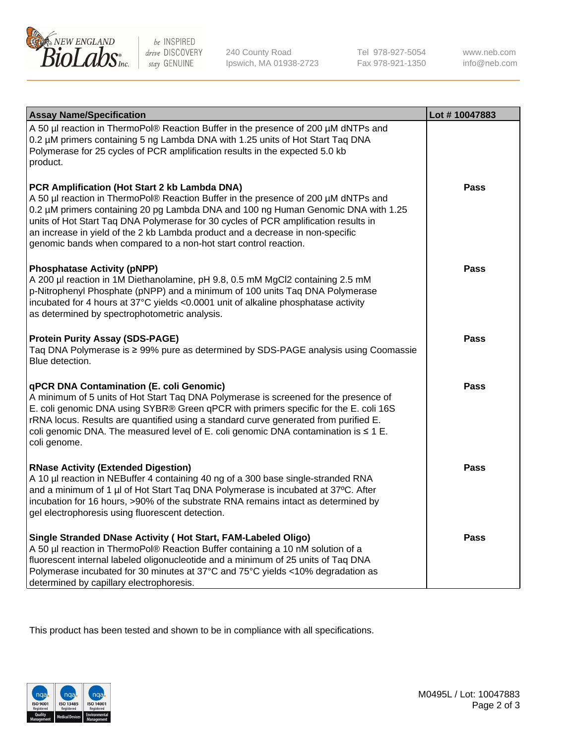

 $be$  INSPIRED drive DISCOVERY stay GENUINE

240 County Road Ipswich, MA 01938-2723 Tel 978-927-5054 Fax 978-921-1350 www.neb.com info@neb.com

| <b>Assay Name/Specification</b>                                                                                                                                                                                                                                                                                                                                                                                                                                       | Lot #10047883 |
|-----------------------------------------------------------------------------------------------------------------------------------------------------------------------------------------------------------------------------------------------------------------------------------------------------------------------------------------------------------------------------------------------------------------------------------------------------------------------|---------------|
| A 50 µl reaction in ThermoPol® Reaction Buffer in the presence of 200 µM dNTPs and<br>0.2 µM primers containing 5 ng Lambda DNA with 1.25 units of Hot Start Taq DNA<br>Polymerase for 25 cycles of PCR amplification results in the expected 5.0 kb<br>product.                                                                                                                                                                                                      |               |
| PCR Amplification (Hot Start 2 kb Lambda DNA)<br>A 50 µl reaction in ThermoPol® Reaction Buffer in the presence of 200 µM dNTPs and<br>0.2 µM primers containing 20 pg Lambda DNA and 100 ng Human Genomic DNA with 1.25<br>units of Hot Start Taq DNA Polymerase for 30 cycles of PCR amplification results in<br>an increase in yield of the 2 kb Lambda product and a decrease in non-specific<br>genomic bands when compared to a non-hot start control reaction. | Pass          |
| <b>Phosphatase Activity (pNPP)</b><br>A 200 µl reaction in 1M Diethanolamine, pH 9.8, 0.5 mM MgCl2 containing 2.5 mM<br>p-Nitrophenyl Phosphate (pNPP) and a minimum of 100 units Taq DNA Polymerase<br>incubated for 4 hours at 37°C yields <0.0001 unit of alkaline phosphatase activity<br>as determined by spectrophotometric analysis.                                                                                                                           | <b>Pass</b>   |
| <b>Protein Purity Assay (SDS-PAGE)</b><br>Taq DNA Polymerase is ≥ 99% pure as determined by SDS-PAGE analysis using Coomassie<br>Blue detection.                                                                                                                                                                                                                                                                                                                      | <b>Pass</b>   |
| <b>qPCR DNA Contamination (E. coli Genomic)</b><br>A minimum of 5 units of Hot Start Taq DNA Polymerase is screened for the presence of<br>E. coli genomic DNA using SYBR® Green qPCR with primers specific for the E. coli 16S<br>rRNA locus. Results are quantified using a standard curve generated from purified E.<br>coli genomic DNA. The measured level of E. coli genomic DNA contamination is $\leq 1$ E.<br>coli genome.                                   | Pass          |
| <b>RNase Activity (Extended Digestion)</b><br>A 10 µl reaction in NEBuffer 4 containing 40 ng of a 300 base single-stranded RNA<br>and a minimum of 1 µl of Hot Start Taq DNA Polymerase is incubated at 37°C. After<br>incubation for 16 hours, >90% of the substrate RNA remains intact as determined by<br>gel electrophoresis using fluorescent detection.                                                                                                        | <b>Pass</b>   |
| Single Stranded DNase Activity (Hot Start, FAM-Labeled Oligo)<br>A 50 µl reaction in ThermoPol® Reaction Buffer containing a 10 nM solution of a<br>fluorescent internal labeled oligonucleotide and a minimum of 25 units of Taq DNA<br>Polymerase incubated for 30 minutes at 37°C and 75°C yields <10% degradation as<br>determined by capillary electrophoresis.                                                                                                  | <b>Pass</b>   |

This product has been tested and shown to be in compliance with all specifications.